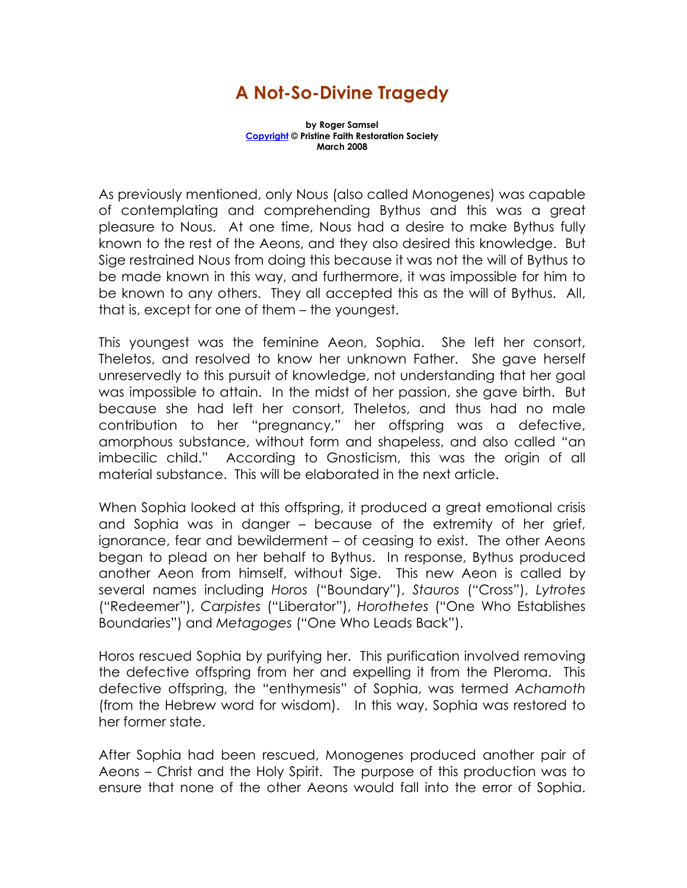## A Not-So-Divine Tragedy

by Roger Samsel Copyright © Pristine Faith Restoration Society March 2008

As previously mentioned, only Nous (also called Monogenes) was capable of contemplating and comprehending Bythus and this was a great pleasure to Nous. At one time, Nous had a desire to make Bythus fully known to the rest of the Aeons, and they also desired this knowledge. But Sige restrained Nous from doing this because it was not the will of Bythus to be made known in this way, and furthermore, it was impossible for him to be known to any others. They all accepted this as the will of Bythus. All, that is, except for one of them – the youngest.

This youngest was the feminine Aeon, Sophia. She left her consort, Theletos, and resolved to know her unknown Father. She gave herself unreservedly to this pursuit of knowledge, not understanding that her goal was impossible to attain. In the midst of her passion, she gave birth. But because she had left her consort, Theletos, and thus had no male contribution to her "pregnancy," her offspring was a defective, amorphous substance, without form and shapeless, and also called "an imbecilic child." According to Gnosticism, this was the origin of all material substance. This will be elaborated in the next article.

When Sophia looked at this offspring, it produced a great emotional crisis and Sophia was in danger – because of the extremity of her grief, ignorance, fear and bewilderment – of ceasing to exist. The other Aeons began to plead on her behalf to Bythus. In response, Bythus produced another Aeon from himself, without Sige. This new Aeon is called by several names including Horos ("Boundary"), Stauros ("Cross"), Lytrotes ("Redeemer"), Carpistes ("Liberator"), Horothetes ("One Who Establishes Boundaries") and Metagoges ("One Who Leads Back").

Horos rescued Sophia by purifying her. This purification involved removing the defective offspring from her and expelling it from the Pleroma. This defective offspring, the "enthymesis" of Sophia, was termed Achamoth (from the Hebrew word for wisdom). In this way, Sophia was restored to her former state.

After Sophia had been rescued, Monogenes produced another pair of Aeons – Christ and the Holy Spirit. The purpose of this production was to ensure that none of the other Aeons would fall into the error of Sophia.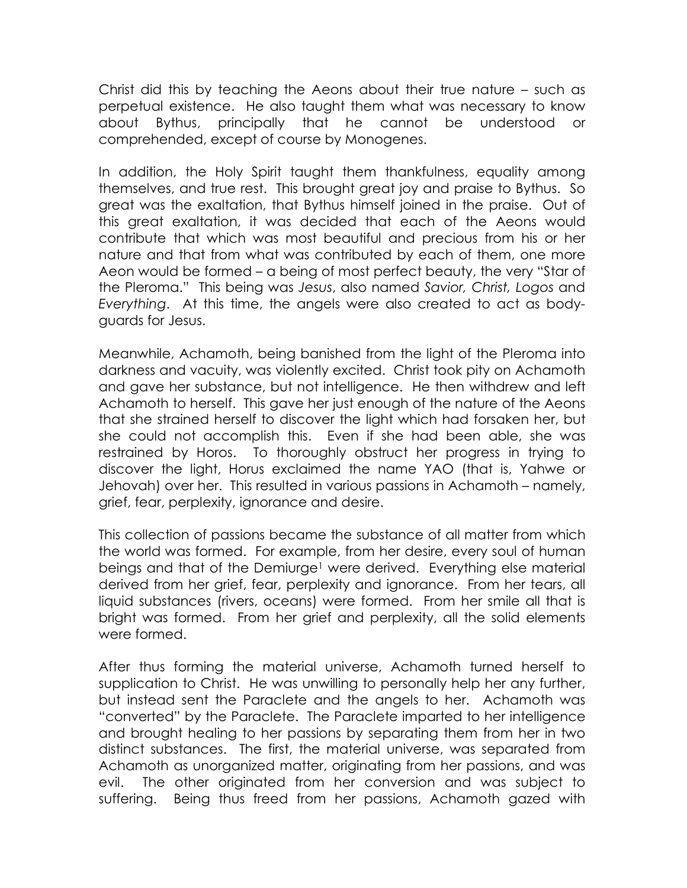Christ did this by teaching the Aeons about their true nature – such as perpetual existence. He also taught them what was necessary to know about Bythus, principally that he cannot be understood or comprehended, except of course by Monogenes.

In addition, the Holy Spirit taught them thankfulness, equality among themselves, and true rest. This brought great joy and praise to Bythus. So great was the exaltation, that Bythus himself joined in the praise. Out of this great exaltation, it was decided that each of the Aeons would contribute that which was most beautiful and precious from his or her nature and that from what was contributed by each of them, one more Aeon would be formed – a being of most perfect beauty, the very "Star of the Pleroma." This being was Jesus, also named Savior, Christ, Logos and Everything. At this time, the angels were also created to act as bodyguards for Jesus.

Meanwhile, Achamoth, being banished from the light of the Pleroma into darkness and vacuity, was violently excited. Christ took pity on Achamoth and gave her substance, but not intelligence. He then withdrew and left Achamoth to herself. This gave her just enough of the nature of the Aeons that she strained herself to discover the light which had forsaken her, but she could not accomplish this. Even if she had been able, she was restrained by Horos. To thoroughly obstruct her progress in trying to discover the light, Horus exclaimed the name YAO (that is, Yahwe or Jehovah) over her. This resulted in various passions in Achamoth – namely, grief, fear, perplexity, ignorance and desire.

This collection of passions became the substance of all matter from which the world was formed. For example, from her desire, every soul of human beings and that of the Demiurge<sup>1</sup> were derived. Everything else material derived from her grief, fear, perplexity and ignorance. From her tears, all liquid substances (rivers, oceans) were formed. From her smile all that is bright was formed. From her grief and perplexity, all the solid elements were formed.

After thus forming the material universe, Achamoth turned herself to supplication to Christ. He was unwilling to personally help her any further, but instead sent the Paraclete and the angels to her. Achamoth was "converted" by the Paraclete. The Paraclete imparted to her intelligence and brought healing to her passions by separating them from her in two distinct substances. The first, the material universe, was separated from Achamoth as unorganized matter, originating from her passions, and was evil. The other originated from her conversion and was subject to suffering. Being thus freed from her passions, Achamoth gazed with